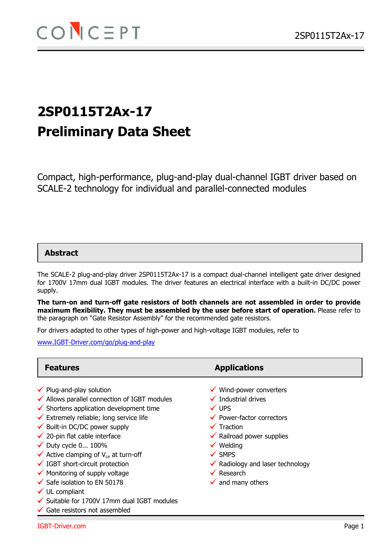# **2SP0115T2Ax-17 Preliminary Data Sheet**

Compact, high-performance, plug-and-play dual-channel IGBT driver based on SCALE-2 technology for individual and parallel-connected modules

### **Abstract**

The SCALE-2 plug-and-play driver 2SP0115T2Ax-17 is a compact dual-channel intelligent gate driver designed for 1700V 17mm dual IGBT modules. The driver features an electrical interface with a built-in DC/DC power supply.

**The turn-on and turn-off gate resistors of both channels are not assembled in order to provide maximum flexibility. They must be assembled by the user before start of operation.** Please refer to the paragraph on "Gate Resistor Assembly" for the recommended gate resistors.

For drivers adapted to other types of high-power and high-voltage IGBT modules, refer to

www.IGBT-Driver.com/go/plug-and-play

- $\checkmark$  Plug-and-play solution
- $\checkmark$  Allows parallel connection of IGBT modules
- $\checkmark$  Shortens application development time
- $\checkmark$  Extremely reliable; long service life
- $\checkmark$  Built-in DC/DC power supply
- $\checkmark$  20-pin flat cable interface
- $\checkmark$  Duty cycle 0... 100%
- $\checkmark$  Active clamping of V<sub>ce</sub> at turn-off
- $\checkmark$  IGBT short-circuit protection
- $\checkmark$  Monitoring of supply voltage
- $\checkmark$  Safe isolation to EN 50178
- $\checkmark$  UL compliant
- $\checkmark$  Suitable for 1700V 17mm dual IGBT modules
- $\checkmark$  Gate resistors not assembled

### **Features Applications**

- $\checkmark$  Wind-power converters
- $\checkmark$  Industrial drives
- $\checkmark$  UPS
- $\checkmark$  Power-factor correctors
- $\checkmark$  Traction
- $\checkmark$  Railroad power supplies
- $\checkmark$  Welding
- $\checkmark$  SMPS
- $\checkmark$  Radiology and laser technology
- $\checkmark$  Research
- $\checkmark$  and many others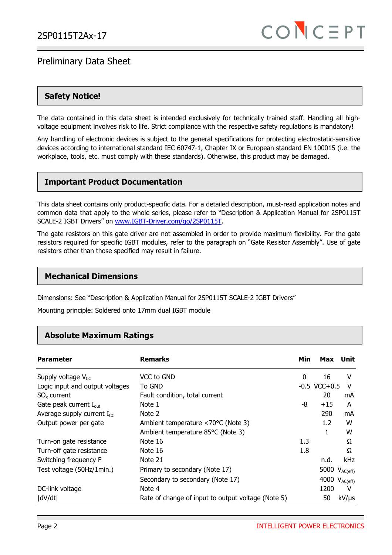### **Safety Notice!**

The data contained in this data sheet is intended exclusively for technically trained staff. Handling all highvoltage equipment involves risk to life. Strict compliance with the respective safety regulations is mandatory!

Any handling of electronic devices is subject to the general specifications for protecting electrostatic-sensitive devices according to international standard IEC 60747-1, Chapter IX or European standard EN 100015 (i.e. the workplace, tools, etc. must comply with these standards). Otherwise, this product may be damaged.

### **Important Product Documentation**

This data sheet contains only product-specific data. For a detailed description, must-read application notes and common data that apply to the whole series, please refer to "Description & Application Manual for 2SP0115T SCALE-2 IGBT Drivers" on www.IGBT-Driver.com/go/2SP0115T.

The gate resistors on this gate driver are not assembled in order to provide maximum flexibility. For the gate resistors required for specific IGBT modules, refer to the paragraph on "Gate Resistor Assembly". Use of gate resistors other than those specified may result in failure.

### **Mechanical Dimensions**

Dimensions: See "Description & Application Manual for 2SP0115T SCALE-2 IGBT Drivers"

Mounting principle: Soldered onto 17mm dual IGBT module

### **Absolute Maximum Ratings**

| <b>Parameter</b>                   | <b>Remarks</b>                                     | Min          | Max                | Unit       |
|------------------------------------|----------------------------------------------------|--------------|--------------------|------------|
| Supply voltage $V_{CC}$            | VCC to GND                                         | $\mathbf{0}$ | 16                 | v          |
| Logic input and output voltages    | To GND                                             |              | $-0.5$ VCC $+0.5$  | v          |
| $SO_{x}$ current                   | Fault condition, total current                     |              | 20                 | mA         |
| Gate peak current $I_{\text{out}}$ | Note 1                                             | -8           | $+15$              | A          |
| Average supply current $I_{CC}$    | Note 2                                             |              | 290                | mA         |
| Output power per gate              | Ambient temperature <70°C (Note 3)                 |              | $1.2\,$            | W          |
|                                    | Ambient temperature 85°C (Note 3)                  |              | 1                  | W          |
| Turn-on gate resistance            | Note 16                                            | 1.3          |                    | Ω          |
| Turn-off gate resistance           | Note 16                                            | 1.8          |                    | Ω          |
| Switching frequency F              | Note 21                                            |              | n.d.               | kHz        |
| Test voltage (50Hz/1min.)          | Primary to secondary (Note 17)                     |              | 5000 $V_{AC(eff)}$ |            |
|                                    | Secondary to secondary (Note 17)                   |              | 4000 $V_{AC(eff)}$ |            |
| DC-link voltage                    | Note 4                                             |              | 1200               | v          |
| dV/dt                              | Rate of change of input to output voltage (Note 5) |              | 50                 | $kV/\mu s$ |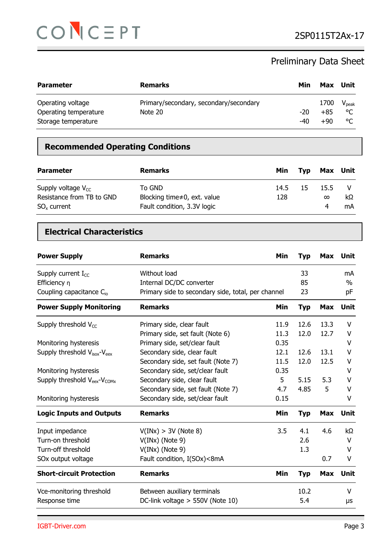

| <b>Parameter</b>                                                  | <b>Remarks</b>                                    | Min        | Max                    | Unit                          |
|-------------------------------------------------------------------|---------------------------------------------------|------------|------------------------|-------------------------------|
| Operating voltage<br>Operating temperature<br>Storage temperature | Primary/secondary, secondary/secondary<br>Note 20 | -20<br>-40 | 1700<br>$+85$<br>$+90$ | $V_{\text{peak}}$<br>°C<br>°C |

### **Recommended Operating Conditions**

| <b>Parameter</b>                                                         | <b>Remarks</b>                                                               | Min         | Tvp | Max Unit         |          |
|--------------------------------------------------------------------------|------------------------------------------------------------------------------|-------------|-----|------------------|----------|
| Supply voltage $V_{CC}$<br>Resistance from TB to GND<br>$SO_{x}$ current | To GND<br>Blocking time $\neq 0$ , ext. value<br>Fault condition, 3.3V logic | 14.5<br>128 | 15  | 15.5<br>$\infty$ | kΩ<br>mA |

### **Electrical Characteristics**

| <b>Power Supply</b>                                  | <b>Remarks</b>                                     | Min  | <b>Typ</b> | Max        | <b>Unit</b> |
|------------------------------------------------------|----------------------------------------------------|------|------------|------------|-------------|
| Supply current $I_{CC}$                              | Without load                                       |      | 33         |            | mA          |
| Efficiency n                                         | Internal DC/DC converter                           |      | 85         |            | $\%$        |
| Coupling capacitance $C_{io}$                        | Primary side to secondary side, total, per channel |      | 23         |            | pF          |
| <b>Power Supply Monitoring</b>                       | <b>Remarks</b>                                     | Min  | <b>Typ</b> | Max        | Unit        |
| Supply threshold $V_{CC}$                            | Primary side, clear fault                          | 11.9 | 12.6       | 13.3       | V           |
|                                                      | Primary side, set fault (Note 6)                   | 11.3 | 12.0       | 12.7       | V           |
| Monitoring hysteresis                                | Primary side, set/clear fault                      | 0.35 |            |            | v           |
| Supply threshold V <sub>isox</sub> -V <sub>eex</sub> | Secondary side, clear fault                        | 12.1 | 12.6       | 13.1       | $\vee$      |
|                                                      | Secondary side, set fault (Note 7)                 | 11.5 | 12.0       | 12.5       | V           |
| Monitoring hysteresis                                | Secondary side, set/clear fault                    | 0.35 |            |            | V           |
| Supply threshold V <sub>eex</sub> -V <sub>COMx</sub> | Secondary side, clear fault                        | 5    | 5.15       | 5.3        | $\vee$      |
|                                                      | Secondary side, set fault (Note 7)                 | 4.7  | 4.85       | 5          | $\vee$      |
| Monitoring hysteresis                                | Secondary side, set/clear fault                    | 0.15 |            |            | V           |
| <b>Logic Inputs and Outputs</b>                      | <b>Remarks</b>                                     | Min  | <b>Typ</b> | <b>Max</b> | <b>Unit</b> |
| Input impedance                                      | V(INx) > 3V (Note 8)                               | 3.5  | 4.1        | 4.6        | kΩ.         |
| Turn-on threshold                                    | $V(INx)$ (Note 9)                                  |      | 2.6        |            | $\vee$      |
| Turn-off threshold                                   | $V(INx)$ (Note 9)                                  |      | 1.3        |            | V           |
| SOx output voltage                                   | Fault condition, I(SOx)<8mA                        |      |            | 0.7        | $\vee$      |
| <b>Short-circuit Protection</b>                      | <b>Remarks</b>                                     | Min  | <b>Typ</b> | Max        | Unit        |
| Vce-monitoring threshold                             | Between auxiliary terminals                        |      | 10.2       |            | V           |
| Response time                                        | DC-link voltage $>$ 550V (Note 10)                 |      | 5.4        |            | μs          |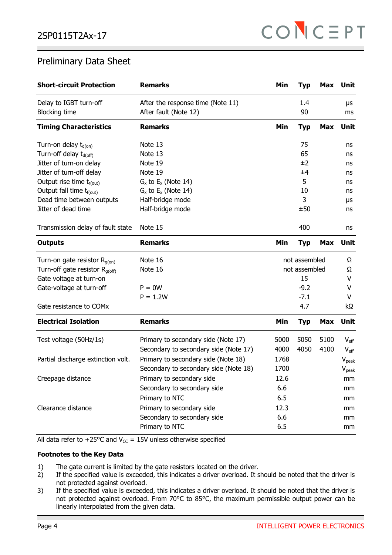| <b>Short-circuit Protection</b>      | <b>Remarks</b>                        | Min  | <b>Typ</b>    | Max        | <b>Unit</b>                 |
|--------------------------------------|---------------------------------------|------|---------------|------------|-----------------------------|
| Delay to IGBT turn-off               | After the response time (Note 11)     |      | 1.4           |            | μs                          |
| <b>Blocking time</b>                 | After fault (Note 12)                 |      | 90            |            | ms                          |
| <b>Timing Characteristics</b>        | <b>Remarks</b>                        | Min  | <b>Typ</b>    | <b>Max</b> | <b>Unit</b>                 |
| Turn-on delay $t_{d(0n)}$            | Note 13                               |      | 75            |            | ns                          |
| Turn-off delay t <sub>d(off)</sub>   | Note 13                               |      | 65            |            | ns                          |
| Jitter of turn-on delay              | Note 19                               |      | ±2            |            | ns                          |
| Jitter of turn-off delay             | Note 19                               |      | ±4            |            | ns                          |
| Output rise time $t_{r(out)}$        | $G_x$ to $E_x$ (Note 14)              |      | 5             |            | ns                          |
| Output fall time t <sub>f(out)</sub> | $G_x$ to $E_x$ (Note 14)              |      | 10            |            | ns                          |
| Dead time between outputs            | Half-bridge mode                      |      | 3             |            | μs                          |
| Jitter of dead time                  | Half-bridge mode                      |      | ±50           |            | ns                          |
| Transmission delay of fault state    | Note 15                               |      | 400           |            | ns                          |
| <b>Outputs</b>                       | <b>Remarks</b>                        | Min  | <b>Typ</b>    | <b>Max</b> | <b>Unit</b>                 |
| Turn-on gate resistor $R_{g(on)}$    | Note 16                               |      | not assembled |            | Ω                           |
| Turn-off gate resistor $R_{q(off)}$  | Note 16                               |      | not assembled |            | Ω                           |
| Gate voltage at turn-on              |                                       |      | 15            |            | V                           |
| Gate-voltage at turn-off             | $P = 0W$                              |      | $-9.2$        |            | V                           |
|                                      | $P = 1.2W$                            |      | $-7.1$        |            | V                           |
| Gate resistance to COMx              |                                       |      | 4.7           |            | kΩ                          |
| <b>Electrical Isolation</b>          | <b>Remarks</b>                        | Min  | <b>Typ</b>    | <b>Max</b> | <b>Unit</b>                 |
| Test voltage (50Hz/1s)               | Primary to secondary side (Note 17)   | 5000 | 5050          | 5100       | $\mathsf{V}_{\mathsf{eff}}$ |
|                                      | Secondary to secondary side (Note 17) | 4000 | 4050          | 4100       | $V_{\text{eff}}$            |
| Partial discharge extinction volt.   | Primary to secondary side (Note 18)   | 1768 |               |            | $V_{peak}$                  |
|                                      | Secondary to secondary side (Note 18) | 1700 |               |            | $V_{\text{peak}}$           |
| Creepage distance                    | Primary to secondary side             | 12.6 |               |            | mm                          |
|                                      | Secondary to secondary side           | 6.6  |               |            | mm                          |
|                                      | Primary to NTC                        | 6.5  |               |            | mm                          |
| Clearance distance                   | Primary to secondary side             | 12.3 |               |            | mm                          |
|                                      | Secondary to secondary side           | 6.6  |               |            | mm                          |
|                                      | Primary to NTC                        | 6.5  |               |            | mm                          |

All data refer to +25°C and  $V_{CC}$  = 15V unless otherwise specified

### **Footnotes to the Key Data**

- 1) The gate current is limited by the gate resistors located on the driver.<br>2) If the specified value is exceeded, this indicates a driver overload. It s
- If the specified value is exceeded, this indicates a driver overload. It should be noted that the driver is not protected against overload.
- 3) If the specified value is exceeded, this indicates a driver overload. It should be noted that the driver is not protected against overload. From 70°C to 85°C, the maximum permissible output power can be linearly interpolated from the given data.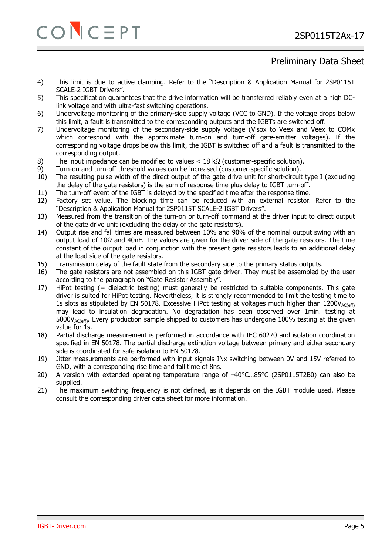# $CO$   $C \equiv PT$  2SP0115T2Ax-17

### Preliminary Data Sheet

- 4) This limit is due to active clamping. Refer to the "Description & Application Manual for 2SP0115T SCALE-2 IGBT Drivers".
- 5) This specification guarantees that the drive information will be transferred reliably even at a high DClink voltage and with ultra-fast switching operations.
- 6) Undervoltage monitoring of the primary-side supply voltage (VCC to GND). If the voltage drops below this limit, a fault is transmitted to the corresponding outputs and the IGBTs are switched off.
- 7) Undervoltage monitoring of the secondary-side supply voltage (Visox to Veex and Veex to COMx which correspond with the approximate turn-on and turn-off gate-emitter voltages). If the corresponding voltage drops below this limit, the IGBT is switched off and a fault is transmitted to the corresponding output.
- 8) The input impedance can be modified to values < 18 kΩ (customer-specific solution).
- 9) Turn-on and turn-off threshold values can be increased (customer-specific solution).
- 10) The resulting pulse width of the direct output of the gate drive unit for short-circuit type I (excluding the delay of the gate resistors) is the sum of response time plus delay to IGBT turn-off.
- 11) The turn-off event of the IGBT is delayed by the specified time after the response time.
- 12) Factory set value. The blocking time can be reduced with an external resistor. Refer to the "Description & Application Manual for 2SP0115T SCALE-2 IGBT Drivers".
- 13) Measured from the transition of the turn-on or turn-off command at the driver input to direct output of the gate drive unit (excluding the delay of the gate resistors).
- 14) Output rise and fall times are measured between 10% and 90% of the nominal output swing with an output load of 10Ω and 40nF. The values are given for the driver side of the gate resistors. The time constant of the output load in conjunction with the present gate resistors leads to an additional delay at the load side of the gate resistors.
- 15) Transmission delay of the fault state from the secondary side to the primary status outputs.
- 16) The gate resistors are not assembled on this IGBT gate driver. They must be assembled by the user according to the paragraph on "Gate Resistor Assembly".
- 17) HiPot testing (= dielectric testing) must generally be restricted to suitable components. This gate driver is suited for HiPot testing. Nevertheless, it is strongly recommended to limit the testing time to 1s slots as stipulated by EN 50178. Excessive HiPot testing at voltages much higher than  $1200V_{AC(eff)}$ may lead to insulation degradation. No degradation has been observed over 1min. testing at  $5000V_{AC(eff)}$ . Every production sample shipped to customers has undergone 100% testing at the given value for 1s.
- 18) Partial discharge measurement is performed in accordance with IEC 60270 and isolation coordination specified in EN 50178. The partial discharge extinction voltage between primary and either secondary side is coordinated for safe isolation to EN 50178.
- 19) Jitter measurements are performed with input signals INx switching between 0V and 15V referred to GND, with a corresponding rise time and fall time of 8ns.
- 20) A version with extended operating temperature range of  $-40^{\circ}$ C...85°C (2SP0115T2B0) can also be supplied.
- 21) The maximum switching frequency is not defined, as it depends on the IGBT module used. Please consult the corresponding driver data sheet for more information.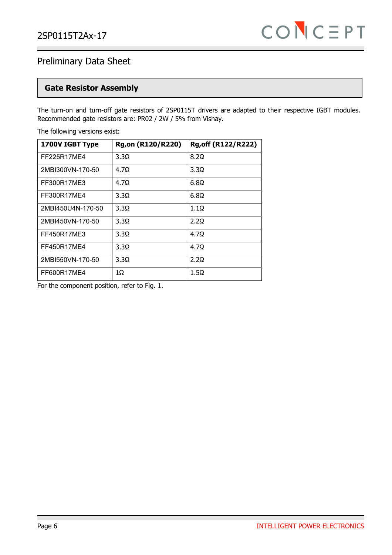### **Gate Resistor Assembly**

The turn-on and turn-off gate resistors of 2SP0115T drivers are adapted to their respective IGBT modules. Recommended gate resistors are: PR02 / 2W / 5% from Vishay.

The following versions exist:

| 1700V IGBT Type   | Rg, on (R120/R220) | Rg, off (R122/R222) |
|-------------------|--------------------|---------------------|
| FF225R17ME4       | $3.3\Omega$        | $8.2\Omega$         |
| 2MBI300VN-170-50  | 4.7 <sub>Q</sub>   | $3.3\Omega$         |
| FF300R17ME3       | 4.7 <sub>Q</sub>   | $6.8\Omega$         |
| FF300R17ME4       | 3.3 <sub>Q</sub>   | $6.8\Omega$         |
| 2MBI450U4N-170-50 | 3.3 <sub>Q</sub>   | $1.1\Omega$         |
| 2MBI450VN-170-50  | 3.3Q               | 2.2Q                |
| FF450R17ME3       | $3.3\Omega$        | 4.7 <sub>Q</sub>    |
| FF450R17ME4       | $3.3\Omega$        | $4.7\Omega$         |
| 2MBI550VN-170-50  | 3.3 <sub>Q</sub>   | 2.2 <sub>Q</sub>    |
| FF600R17MF4       | 10                 | $1.5\Omega$         |

For the component position, refer to Fig. 1.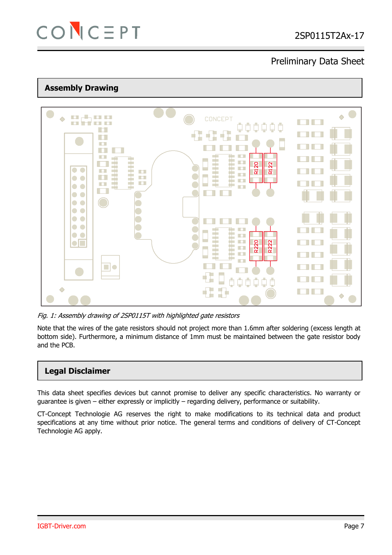

### **Assembly Drawing**



Fig. 1: Assembly drawing of 2SP0115T with highlighted gate resistors

Note that the wires of the gate resistors should not project more than 1.6mm after soldering (excess length at bottom side). Furthermore, a minimum distance of 1mm must be maintained between the gate resistor body and the PCB.

### **Legal Disclaimer**

This data sheet specifies devices but cannot promise to deliver any specific characteristics. No warranty or guarantee is given – either expressly or implicitly – regarding delivery, performance or suitability.

CT-Concept Technologie AG reserves the right to make modifications to its technical data and product specifications at any time without prior notice. The general terms and conditions of delivery of CT-Concept Technologie AG apply.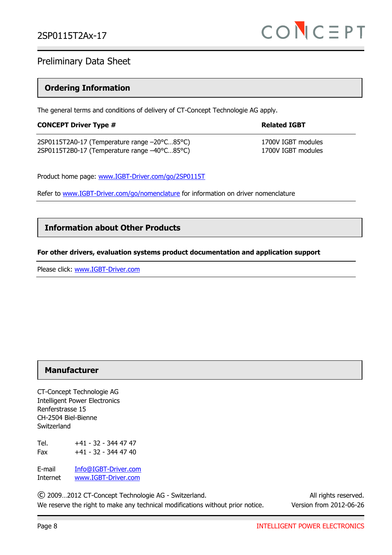### **Ordering Information**

The general terms and conditions of delivery of CT-Concept Technologie AG apply.

| <b>CONCEPT Driver Type #</b>                 | <b>Related IGBT</b> |
|----------------------------------------------|---------------------|
| 2SP0115T2A0-17 (Temperature range -20°C85°C) | 1700V IGBT modules  |
| 2SP0115T2B0-17 (Temperature range -40°C85°C) | 1700V IGBT modules  |

Product home page: www.IGBT-Driver.com/go/2SP0115T

Refer to www.IGBT-Driver.com/go/nomenclature for information on driver nomenclature

### **Information about Other Products**

### **For other drivers, evaluation systems product documentation and application support**

Please click: www.IGBT-Driver.com

### **Manufacturer**

CT-Concept Technologie AG Intelligent Power Electronics Renferstrasse 15 CH-2504 Biel-Bienne Switzerland

Tel. +41 - 32 - 344 47 47 Fax  $+41 - 32 - 344$  47 40

E-mail Info@IGBT-Driver.com Internet www.IGBT-Driver.com

© 2009…2012 CT-Concept Technologie AG - Switzerland. All rights reserved. We reserve the right to make any technical modifications without prior notice. Version from 2012-06-26